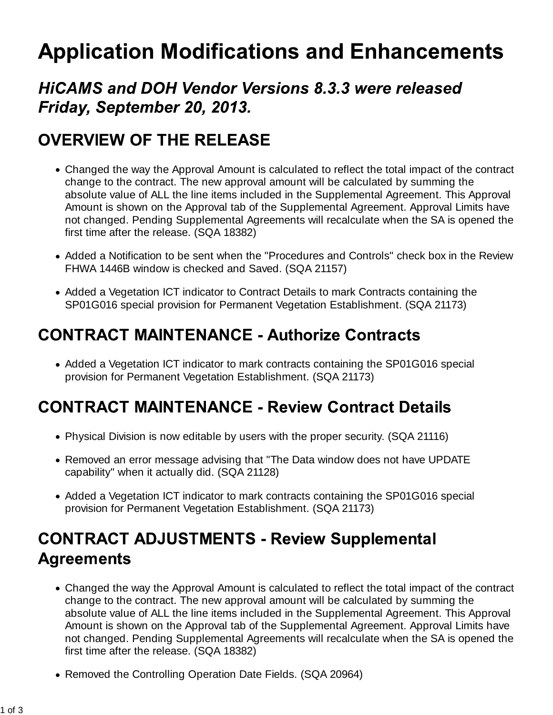# **Application Modifications and Enhancements**

#### **HICAMS and DOH Vendor Versions 8.3.3 were released** Friday, September 20, 2013.

## **OVERVIEW OF THE RELEASE**

- Changed the way the Approval Amount is calculated to reflect the total impact of the contract change to the contract. The new approval amount will be calculated by summing the absolute value of ALL the line items included in the Supplemental Agreement. This Approval Amount is shown on the Approval tab of the Supplemental Agreement. Approval Limits have not changed. Pending Supplemental Agreements will recalculate when the SA is opened the first time after the release. (SQA 18382)
- Added a Notification to be sent when the "Procedures and Controls" check box in the Review FHWA 1446B window is checked and Saved. (SQA 21157)
- Added a Vegetation ICT indicator to Contract Details to mark Contracts containing the SP01G016 special provision for Permanent Vegetation Establishment. (SQA 21173)

## **CONTRACT MAINTENANCE - Authorize Contracts**

• Added a Vegetation ICT indicator to mark contracts containing the SP01G016 special provision for Permanent Vegetation Establishment. (SQA 21173)

## **CONTRACT MAINTENANCE - Review Contract Details**

- Physical Division is now editable by users with the proper security. (SQA 21116)
- Removed an error message advising that "The Data window does not have UPDATE capability" when it actually did. (SQA 21128)
- Added a Vegetation ICT indicator to mark contracts containing the SP01G016 special provision for Permanent Vegetation Establishment. (SQA 21173)

# **CONTRACT ADJUSTMENTS - Review Supplemental Agreements**

- Changed the way the Approval Amount is calculated to reflect the total impact of the contract change to the contract. The new approval amount will be calculated by summing the absolute value of ALL the line items included in the Supplemental Agreement. This Approval Amount is shown on the Approval tab of the Supplemental Agreement. Approval Limits have not changed. Pending Supplemental Agreements will recalculate when the SA is opened the first time after the release. (SQA 18382)
- Removed the Controlling Operation Date Fields. (SQA 20964)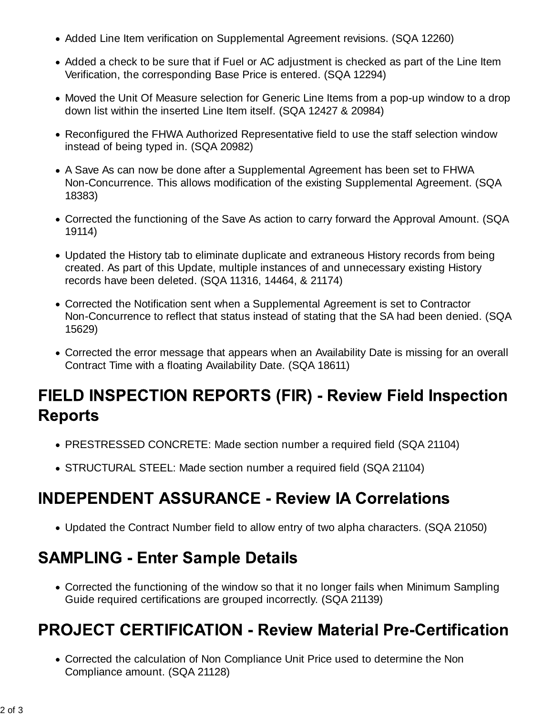- Added Line Item verification on Supplemental Agreement revisions. (SQA 12260)
- Added a check to be sure that if Fuel or AC adjustment is checked as part of the Line Item Verification, the corresponding Base Price is entered. (SQA 12294)
- Moved the Unit Of Measure selection for Generic Line Items from a pop-up window to a drop down list within the inserted Line Item itself. (SQA 12427 & 20984)
- Reconfigured the FHWA Authorized Representative field to use the staff selection window instead of being typed in. (SQA 20982)
- A Save As can now be done after a Supplemental Agreement has been set to FHWA Non-Concurrence. This allows modification of the existing Supplemental Agreement. (SQA 18383)
- Corrected the functioning of the Save As action to carry forward the Approval Amount. (SQA 19114)
- Updated the History tab to eliminate duplicate and extraneous History records from being created. As part of this Update, multiple instances of and unnecessary existing History records have been deleted. (SQA 11316, 14464, & 21174)
- Corrected the Notification sent when a Supplemental Agreement is set to Contractor Non-Concurrence to reflect that status instead of stating that the SA had been denied. (SQA 15629)
- Corrected the error message that appears when an Availability Date is missing for an overall Contract Time with a floating Availability Date. (SQA 18611)

# **FIELD INSPECTION REPORTS (FIR) - Review Field Inspection Reports**

- PRESTRESSED CONCRETE: Made section number a required field (SQA 21104)
- STRUCTURAL STEEL: Made section number a required field (SQA 21104)

#### **INDEPENDENT ASSURANCE - Review IA Correlations**

Updated the Contract Number field to allow entry of two alpha characters. (SQA 21050)

#### **SAMPLING - Enter Sample Details**

Corrected the functioning of the window so that it no longer fails when Minimum Sampling Guide required certifications are grouped incorrectly. (SQA 21139)

## **PROJECT CERTIFICATION - Review Material Pre-Certification**

Corrected the calculation of Non Compliance Unit Price used to determine the Non Compliance amount. (SQA 21128)